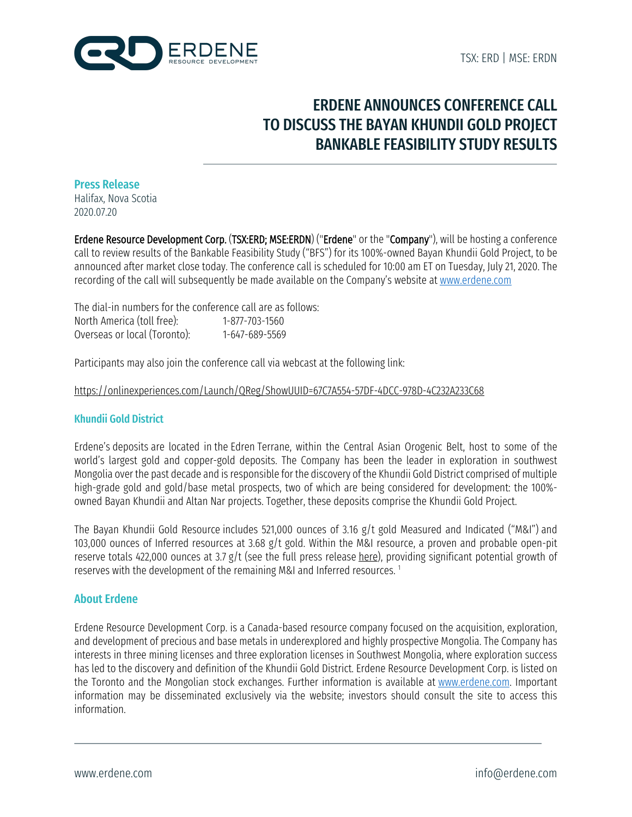

# ERDENE ANNOUNCES CONFERENCE CALL TO DISCUSS THE BAYAN KHUNDII GOLD PROJECT BANKABLE FEASIBILITY STUDY RESULTS

#### Press Release

Halifax, Nova Scotia 2020.07.20

Erdene Resource Development Corp. (TSX:ERD; MSE:ERDN) ("Erdene" or the "Company"), will be hosting a conference call to review results of the Bankable Feasibility Study ("BFS") for its 100%-owned Bayan Khundii Gold Project, to be announced after market close today. The conference call is scheduled for 10:00 am ET on Tuesday, July 21, 2020. The recording of the call will subsequently be made available on the Company's website at www.erdene.com

The dial-in numbers for the conference call are as follows: North America (toll free): 1-877-703-1560 Overseas or local (Toronto): 1-647-689-5569

Participants may also join the conference call via webcast at the following link:

#### https://onlinexperiences.com/Launch/QReg/ShowUUID=67C7A554-57DF-4DCC-978D-4C232A233C68

### Khundii Gold District

Erdene's deposits are located in the Edren Terrane, within the Central Asian Orogenic Belt, host to some of the world's largest gold and copper-gold deposits. The Company has been the leader in exploration in southwest Mongolia over the past decade and is responsible for the discovery of the Khundii Gold District comprised of multiple high-grade gold and gold/base metal prospects, two of which are being considered for development: the 100% owned Bayan Khundii and Altan Nar projects. Together, these deposits comprise the Khundii Gold Project.

The Bayan Khundii Gold Resource includes 521,000 ounces of 3.16 g/t gold Measured and Indicated ("M&I") and 103,000 ounces of Inferred resources at 3.68 g/t gold. Within the M&I resource, a proven and probable open-pit reserve totals 422,000 ounces at 3.7 g/t (see the full press release here), providing significant potential growth of reserves with the development of the remaining M&I and Inferred resources. <sup>1</sup>

### About Erdene

Erdene Resource Development Corp. is a Canada-based resource company focused on the acquisition, exploration, and development of precious and base metals in underexplored and highly prospective Mongolia. The Company has interests in three mining licenses and three exploration licenses in Southwest Mongolia, where exploration success has led to the discovery and definition of the Khundii Gold District. Erdene Resource Development Corp. is listed on the Toronto and the Mongolian stock exchanges. Further information is available at www.erdene.com. Important information may be disseminated exclusively via the website; investors should consult the site to access this information.